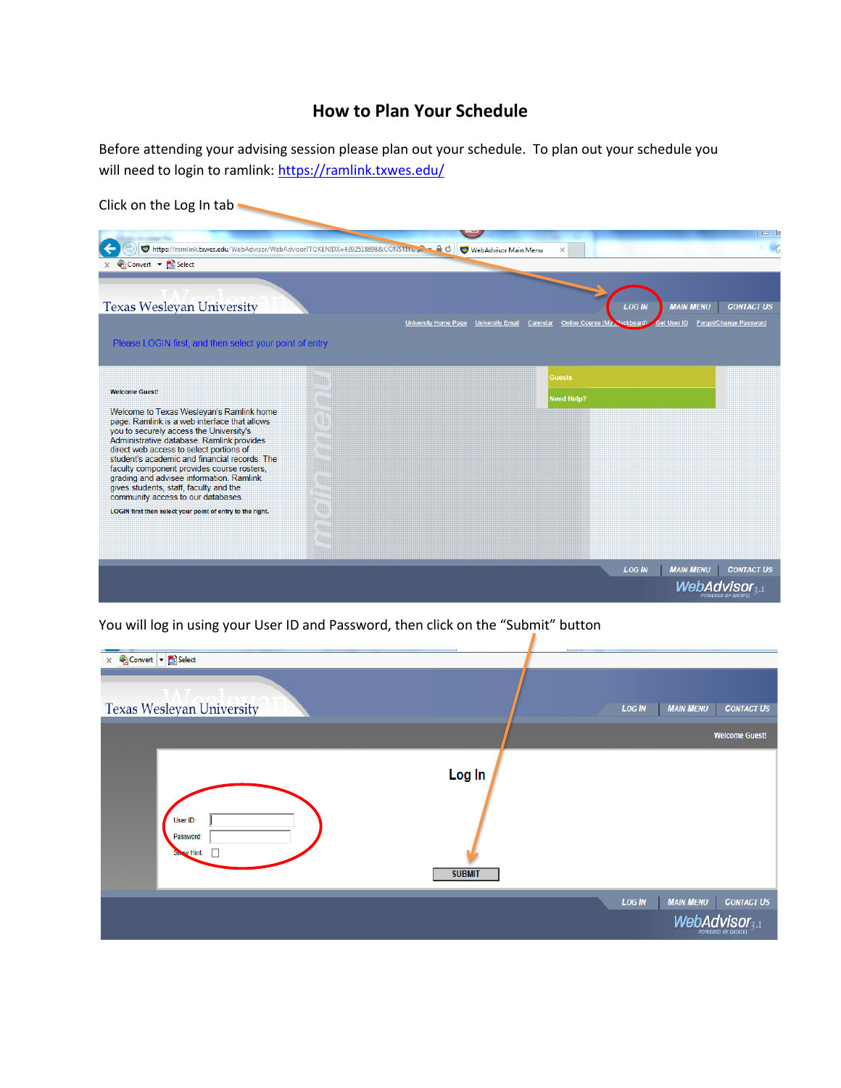## **How to Plan Your Schedule**

Before attending your advising session please plan out your schedule. To plan out your schedule you will need to login to ramlink:<https://ramlink.txwes.edu/>

| Click on the Log In tab                                                                      |                                                                              |                                                          |                                                                              |                                             |
|----------------------------------------------------------------------------------------------|------------------------------------------------------------------------------|----------------------------------------------------------|------------------------------------------------------------------------------|---------------------------------------------|
|                                                                                              |                                                                              |                                                          |                                                                              | $\Box$                                      |
| $\leftarrow$                                                                                 | https://ramlink.bxwes.edu/WebAdvisor/WebAdvisor?TOKENIDX=4392518898&CONSTITU | WebAdvisor Main Menu<br>$\times$                         |                                                                              |                                             |
| $\times$ Convert $\times$ <b>Ex</b> Select                                                   |                                                                              |                                                          |                                                                              |                                             |
| <b>Texas Wesleyan University</b><br>Please LOGIN first, and then select your point of entry. | <b>University Home Page</b>                                                  | Online Course (My<br><b>University Email</b><br>Calendar | <b>LOG IN</b><br><b>MAIN MENU</b><br><b>Get User ID</b><br><b>ackboard</b> ) | <b>CONTACT US</b><br>Forgot/Change Password |
| <b>Welcome Guest!</b>                                                                        |                                                                              | <b>Guests</b>                                            |                                                                              |                                             |
|                                                                                              |                                                                              | <b>Need Help?</b>                                        |                                                                              |                                             |
| Welcome to Texas Wesleyan's Ramlink home<br>page. Ramlink is a web interface that allows     |                                                                              |                                                          |                                                                              |                                             |
| you to securely access the University's                                                      |                                                                              |                                                          |                                                                              |                                             |
| Administrative database. Ramlink provides<br>direct web access to select portions of         |                                                                              |                                                          |                                                                              |                                             |
| student's academic and financial records. The                                                |                                                                              |                                                          |                                                                              |                                             |
| faculty component provides course rosters,<br>grading and advisee information. Ramlink       |                                                                              |                                                          |                                                                              |                                             |
| gives students, staff, faculty and the                                                       |                                                                              |                                                          |                                                                              |                                             |
| community access to our databases.                                                           |                                                                              |                                                          |                                                                              |                                             |
| LOGIN first then select your point of entry to the right.                                    |                                                                              |                                                          |                                                                              |                                             |
|                                                                                              |                                                                              |                                                          |                                                                              |                                             |
|                                                                                              |                                                                              |                                                          |                                                                              |                                             |
|                                                                                              |                                                                              |                                                          |                                                                              |                                             |
|                                                                                              |                                                                              |                                                          | <b>MAIN MENU</b><br><b>LOG IN</b>                                            | <b>CONTACT US</b>                           |
|                                                                                              |                                                                              |                                                          |                                                                              | WebAdvisor <sub>3-I</sub>                   |

You will log in using your User ID and Password, then click on the "Submit" button

| $\times$ Convert $\overline{\phantom{a}}$ Select |                         |                                                        |
|--------------------------------------------------|-------------------------|--------------------------------------------------------|
| <b>Texas Wesleyan University</b>                 |                         | <b>LOG IN</b><br><b>MAIN MENU</b><br><b>CONTACT US</b> |
|                                                  |                         | <b>Welcome Guest!</b>                                  |
| User ID:<br>Password:<br>Show Hint:              | Log In<br><b>SUBMIT</b> |                                                        |
|                                                  |                         | <b>CONTACT US</b><br><b>LOG IN</b><br><b>MAIN MENU</b> |
|                                                  |                         | WebAdvisor <sub>3-1</sub><br><b>POWERED BY DATATEL</b> |

ı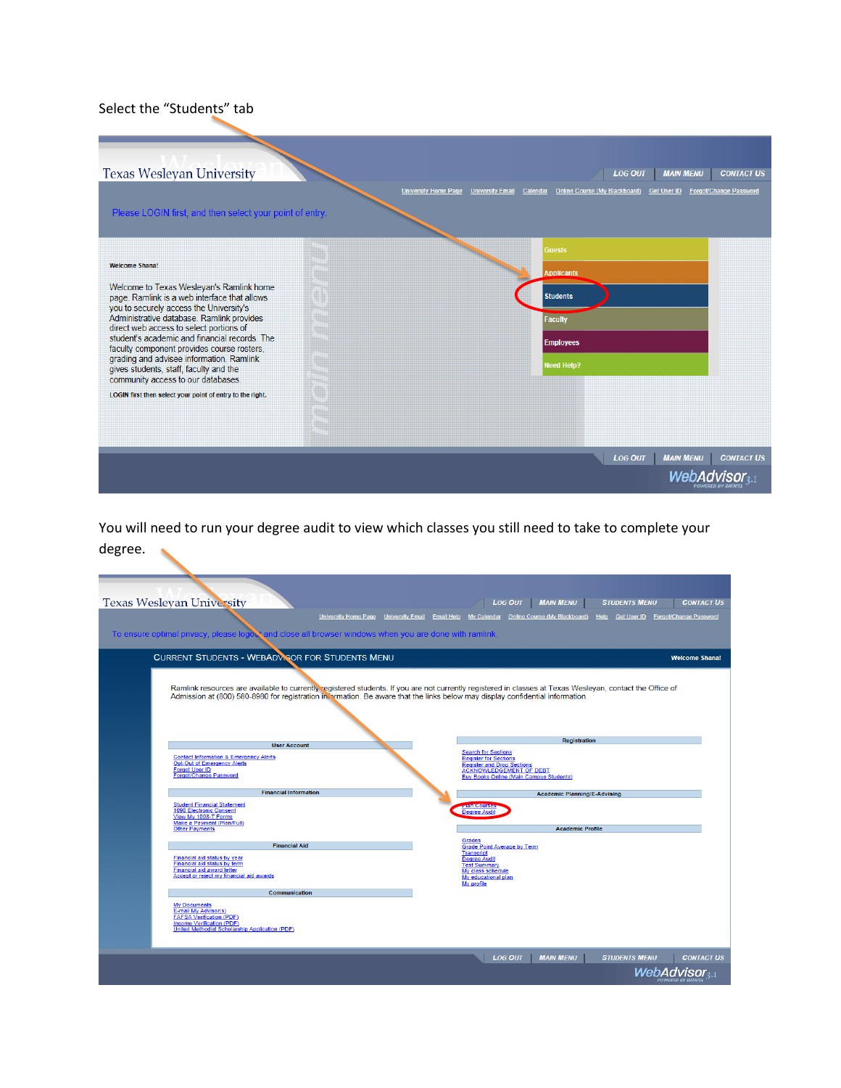## Select the "Students" tab

| <b>Texas Wesleyan University</b>                                                                                                                                                                                                                                                                                                                                                                                                                                                                                                             | <b>MAIN MENU</b><br><b>CONTACT US</b><br><b>LOG OUT</b><br><b>University Home Page</b><br><b>Online Course (My Blackboard)</b><br>Forgot/Change Password<br><b>University Email</b><br>Calendar<br>Get User ID |
|----------------------------------------------------------------------------------------------------------------------------------------------------------------------------------------------------------------------------------------------------------------------------------------------------------------------------------------------------------------------------------------------------------------------------------------------------------------------------------------------------------------------------------------------|----------------------------------------------------------------------------------------------------------------------------------------------------------------------------------------------------------------|
| Please LOGIN first, and then select your point of entry.                                                                                                                                                                                                                                                                                                                                                                                                                                                                                     |                                                                                                                                                                                                                |
| <b>Welcome Shana!</b><br>Welcome to Texas Wesleyan's Ramlink home<br>page. Ramlink is a web interface that allows<br>you to securely access the University's<br>Administrative database. Ramlink provides<br>direct web access to select portions of<br>student's academic and financial records. The<br>faculty component provides course rosters,<br>grading and advisee information. Ramlink<br>gives students, staff, faculty and the<br>community access to our databases.<br>LOGIN first then select your point of entry to the right. | <b>Guests</b><br><b>Applicants</b><br><b>Students</b><br><b>Faculty</b><br><b>Employees</b><br><b>Need Help?</b>                                                                                               |
|                                                                                                                                                                                                                                                                                                                                                                                                                                                                                                                                              | <b>CONTACT US</b><br><b>LOG OUT</b><br><b>MAIN MENU</b><br><i><b>WebAdvisor</b></i>                                                                                                                            |

You will need to run your degree audit to view which classes you still need to take to complete your degree.

| <b>Texas Wesleyan University</b>                                                                                              |                                       | <b>MAIN MENU</b><br><b>CONTACT US</b><br><b>LOG OUT</b><br><b>STUDENTS MENU</b>                                                                           |
|-------------------------------------------------------------------------------------------------------------------------------|---------------------------------------|-----------------------------------------------------------------------------------------------------------------------------------------------------------|
|                                                                                                                               | University Home Page University Email | My Calendar  Online Course (My Blackboard)  Help  Get User ID  Forgot/Change Password<br><b>Email Help</b>                                                |
| To ensure optimal privacy, please logost and close all browser windows when you are done with ramlink.                        |                                       |                                                                                                                                                           |
|                                                                                                                               |                                       |                                                                                                                                                           |
| <b>CURRENT STUDENTS - WEBADV SOR FOR STUDENTS MENU</b>                                                                        |                                       | <b>Welcome Shana!</b>                                                                                                                                     |
|                                                                                                                               |                                       |                                                                                                                                                           |
|                                                                                                                               |                                       | Ramlink resources are available to currently registered students. If you are not currently registered in classes at Texas Wesleyan, contact the Office of |
| Admission at (800) 580-8980 for registration in ormation. Be aware that the links below may display confidential information. |                                       |                                                                                                                                                           |
|                                                                                                                               |                                       |                                                                                                                                                           |
|                                                                                                                               |                                       |                                                                                                                                                           |
| <b>User Account</b>                                                                                                           |                                       | <b>Registration</b>                                                                                                                                       |
| <b>Contact Information &amp; Emergency Alerts</b>                                                                             |                                       | <b>Search for Sections</b><br><b>Register for Sections</b>                                                                                                |
| <b>Opt-Out of Emergency Alerts</b><br><b>Forgot User ID</b>                                                                   |                                       | <b>Register and Drop Sections</b><br><b>ACKNOWLEDGEMENT OF DEBT</b>                                                                                       |
| <b>Forgot/Change Password</b>                                                                                                 |                                       | <b>Buy Books Online (Main Campus Students)</b>                                                                                                            |
| <b>Financial Information</b>                                                                                                  |                                       | <b>Academic Planning/E-Advising</b>                                                                                                                       |
| <b>Student Financial Statement</b><br>1098 Electronic Consent                                                                 |                                       | <b>MAIL COURES</b><br><b>Degree Audit</b>                                                                                                                 |
| View My 1098-T Forms<br>Make a Payment (Plan/Full)                                                                            |                                       |                                                                                                                                                           |
| <b>Other Payments</b>                                                                                                         |                                       | <b>Academic Profile</b>                                                                                                                                   |
| <b>Financial Aid</b>                                                                                                          |                                       | <b>Grades</b><br><b>Grade Point Average by Term</b><br><b>Transcript</b>                                                                                  |
| Financial aid status by year<br>Financial aid status by term                                                                  |                                       | <b>Degree Audit</b><br><b>Test Summary</b>                                                                                                                |
| <b>Financial aid award letter</b><br>Accept or reject my financial aid awards                                                 |                                       | My class schedule<br>My educational plan                                                                                                                  |
|                                                                                                                               |                                       | My profile                                                                                                                                                |
| Communication<br><b>My Documents</b>                                                                                          |                                       |                                                                                                                                                           |
| E-mail My Advisor(s)<br><b>FAFSA Verification (PDF)</b>                                                                       |                                       |                                                                                                                                                           |
| Income Verification (PDF)<br><b>United Methodist Scholarship Application (PDF)</b>                                            |                                       |                                                                                                                                                           |
|                                                                                                                               |                                       |                                                                                                                                                           |
|                                                                                                                               |                                       | <b>STUDENTS MENU</b><br><b>LOG OUT</b><br><b>MAIN MENU</b><br><b>CONTACT US</b>                                                                           |
|                                                                                                                               |                                       |                                                                                                                                                           |
|                                                                                                                               |                                       | WebAdvisor <sub>3.1</sub>                                                                                                                                 |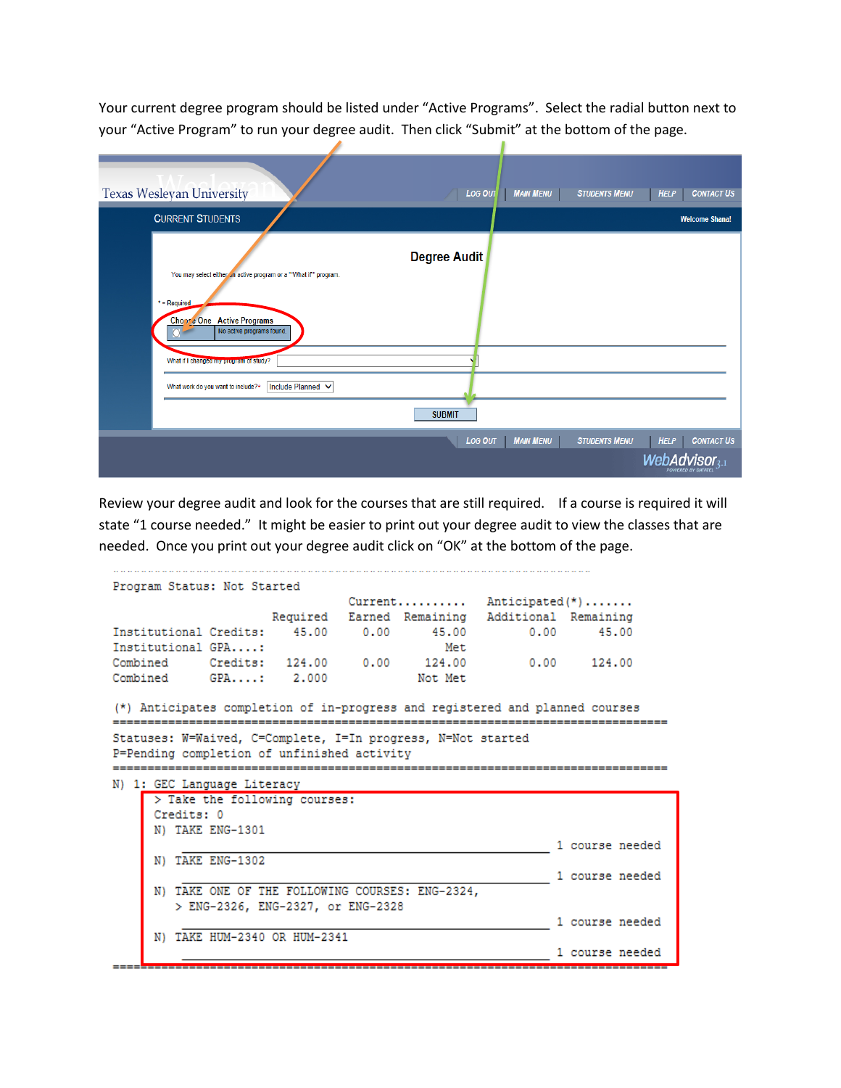Your current degree program should be listed under "Active Programs". Select the radial button next to your "Active Program" to run your degree audit. Then click "Submit" at the bottom of the page.

| <b>Texas Wesleyan University</b>                                          | <b>CONTACT US</b><br>LOG OUT<br><b>MAIN MENU</b><br><b>STUDENTS MENU</b><br><b>HELP</b>        |
|---------------------------------------------------------------------------|------------------------------------------------------------------------------------------------|
| <b>CURRENT STUDENTS</b>                                                   | <b>Welcome Shana!</b>                                                                          |
| You may select either in active program or a ""What if"" program.         | <b>Degree Audit</b>                                                                            |
| $*$ = Required<br>Chopse One Active Programs<br>No active programs found. |                                                                                                |
| What if I changed my program of study?                                    |                                                                                                |
| Include Planned V<br>What work do you want to include?*                   |                                                                                                |
|                                                                           | <b>SUBMIT</b>                                                                                  |
|                                                                           | <b>CONTACT US</b><br><b>MAIN MENU</b><br><b>STUDENTS MENU</b><br><b>HELP</b><br><b>LOG OUT</b> |
|                                                                           | dvisor <sub>3-1</sub><br>POWERED BY DATATEL                                                    |

Review your degree audit and look for the courses that are still required. If a course is required it will state "1 course needed." It might be easier to print out your degree audit to view the classes that are needed. Once you print out your degree audit click on "OK" at the bottom of the page.

```
Program Status: Not Started
                       Current......... Anticipated(*).......
              Required Earned Remaining Additional Remaining
Institutional Credits: 45.00 0.00 45.00 0.00 45.00
Institutional GPA....:
                                Met
Combined Credits: 124.00 0.00 124.00 0.00 124.00
Combined
        GPA....: 2.000
                             Not Met
(*) Anticipates completion of in-progress and registered and planned courses
Statuses: W=Waived, C=Complete, I=In progress, N=Not started
P=Pending completion of unfinished activity
 N) 1: GEC Language Literacy
    > Take the following courses:
    Credits: 0
    N) TAKE ENG-1301
                                     1 course needed
    N) TAKE ENG-1302
                                           1 course needed
    N) TAKE ONE OF THE FOLLOWING COURSES: ENG-2324,
      > ENG-2326, ENG-2327, or ENG-2328
                                            1 course needed
    N) TAKE HUM-2340 OR HUM-2341
                                             1 course needed
```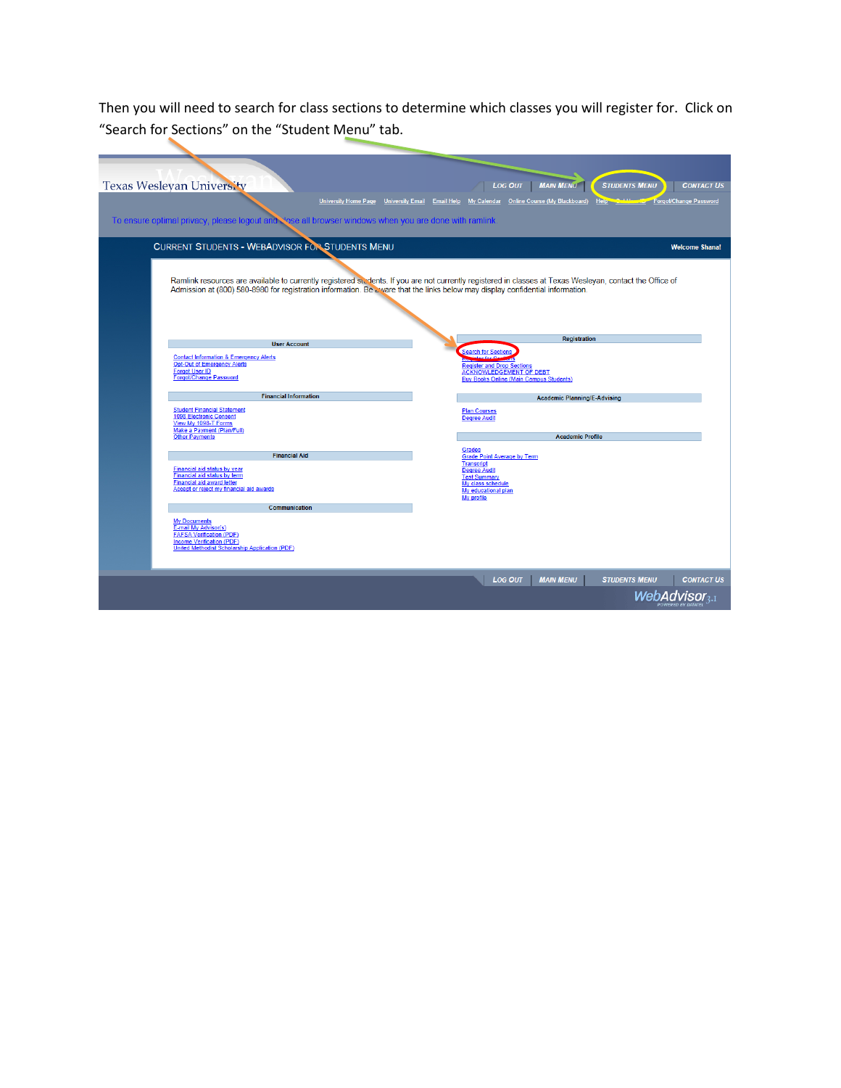Then you will need to search for class sections to determine which classes you will register for. Click on "Search for Sections" on the "Student Menu" tab.

| <b>Texas Weslevan University</b><br><b>University Home Page</b><br>To ensure optimal privacy, please logout and vose all browser windows when you are done with ramlink. | <b>MAIN MENU</b><br><b>CONTACT US</b><br><b>LOG OUT</b><br><b>STUDENTS MENU</b><br><b>Company</b> Forgot/Change Password<br>University Email Email Help My Calendar Online Course (My Blackboard)<br>Help Co |
|--------------------------------------------------------------------------------------------------------------------------------------------------------------------------|--------------------------------------------------------------------------------------------------------------------------------------------------------------------------------------------------------------|
| <b>CURRENT STUDENTS - WEBADVISOR FOR STUDENTS MENU</b>                                                                                                                   | <b>Welcome Shana!</b>                                                                                                                                                                                        |
| Admission at (800) 580-8980 for registration information. Be a ware that the links below may display confidential information.                                           | Ramlink resources are available to currently registered students. If you are not currently registered in classes at Texas Wesleyan, contact the Office of                                                    |
| <b>User Account</b>                                                                                                                                                      | <b>Registration</b>                                                                                                                                                                                          |
| <b>Contact Information &amp; Emergency Alerts</b><br><b>Opt-Out of Emergency Alerts</b><br><b>Forgot User ID</b><br><b>Forgot/Change Password</b>                        | <b>Search for Sections</b><br><b>Register and Drop Sections</b><br><b>ACKNOWLEDGEMENT OF DEBT</b><br><b>Buy Books Online (Main Campus Students)</b>                                                          |
| <b>Financial Information</b>                                                                                                                                             | <b>Academic Planning/E-Advising</b>                                                                                                                                                                          |
| <b>Student Financial Statement</b><br><b>1098 Electronic Consent</b><br>View My 1098-T Forms<br>Make a Payment (Plan/Full)<br><b>Other Payments</b>                      | <b>Plan Courses</b><br><b>Degree Audit</b><br><b>Academic Profile</b>                                                                                                                                        |
| <b>Financial Aid</b>                                                                                                                                                     | Grades<br>Grade Point Average by Term                                                                                                                                                                        |
| Financial aid status by year<br>Financial aid status by term<br>Financial aid award letter<br>Accept or reject my financial aid awards                                   | <b>Transcript</b><br><b>Degree Audit</b><br><b>Test Summary</b><br>My class schedule<br>My educational plan<br>My profile                                                                                    |
| Communication                                                                                                                                                            |                                                                                                                                                                                                              |
| <b>My Documents</b><br>E-mail My Advisor(s)<br><b>FAFSA Verification (PDF)</b><br><b>Income Verification (PDF)</b><br>United Methodist Scholarship Application (PDF)     |                                                                                                                                                                                                              |
|                                                                                                                                                                          | <b>MAIN MENU</b><br><b>LOG OUT</b><br><b>STUDENTS MENU</b><br><b>CONTACT US</b><br>WebAdvisor <sub>3</sub> .                                                                                                 |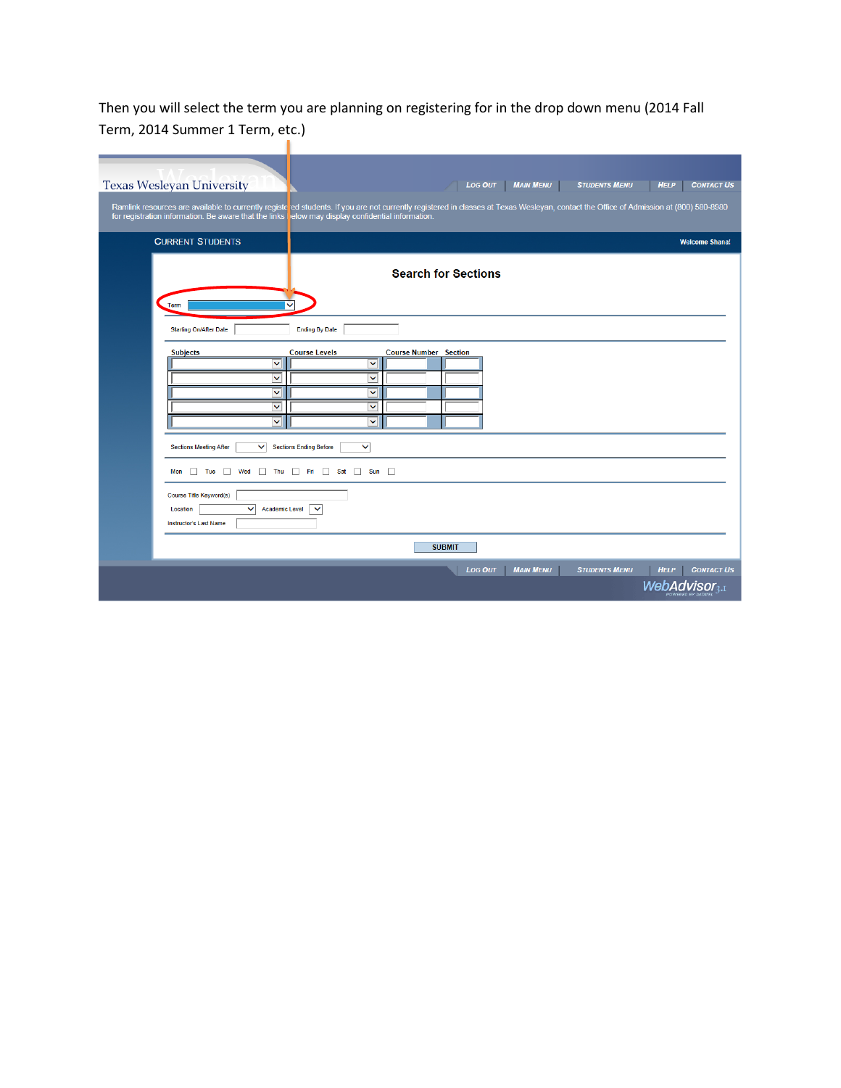Then you will select the term you are planning on registering for in the drop down menu (2014 Fall Term, 2014 Summer 1 Term, etc.)

| <b>Texas Wesleyan University</b>                                                                   | <b>LOG OUT</b><br><b>MAIN MENU</b><br><b>CONTACT US</b><br><b>STUDENTS MENU</b><br><b>HELP</b>                                                                                        |
|----------------------------------------------------------------------------------------------------|---------------------------------------------------------------------------------------------------------------------------------------------------------------------------------------|
| for registration information. Be aware that the links lelow may display confidential information.  | Ramlink resources are available to currently registe ed students. If you are not currently registered in classes at Texas Wesleyan, contact the Office of Admission at (800) 580-8980 |
| <b>CURRENT STUDENTS</b>                                                                            | <b>Welcome Shana!</b>                                                                                                                                                                 |
|                                                                                                    | <b>Search for Sections</b>                                                                                                                                                            |
| Term                                                                                               | $\checkmark$                                                                                                                                                                          |
| <b>Starting On/After Date</b>                                                                      | <b>Ending By Date</b>                                                                                                                                                                 |
| <b>Subjects</b><br>$\checkmark$                                                                    | <b>Course Levels</b><br><b>Course Number Section</b><br>$\checkmark$                                                                                                                  |
| ×,<br>v                                                                                            | Ÿ<br>$\blacktriangledown$                                                                                                                                                             |
| $\checkmark$<br>$\checkmark$                                                                       | Ÿ<br>$\checkmark$                                                                                                                                                                     |
| <b>Sections Meeting After</b><br>$\checkmark$                                                      | <b>Sections Ending Before</b><br>$\checkmark$                                                                                                                                         |
| $\Box$ Tue $\Box$ Wed<br>Mon                                                                       | Thu Fri Sat Sun D                                                                                                                                                                     |
| Course Title Keyword(s)<br><b>Academic Level</b><br>◡<br>Location<br><b>Instructor's Last Name</b> | $\checkmark$                                                                                                                                                                          |
|                                                                                                    | <b>SUBMIT</b>                                                                                                                                                                         |
|                                                                                                    | <b>CONTACT US</b><br><b>MAIN MENU</b><br><b>STUDENTS MENU</b><br><b>HELP</b><br><b>LOG OUT</b>                                                                                        |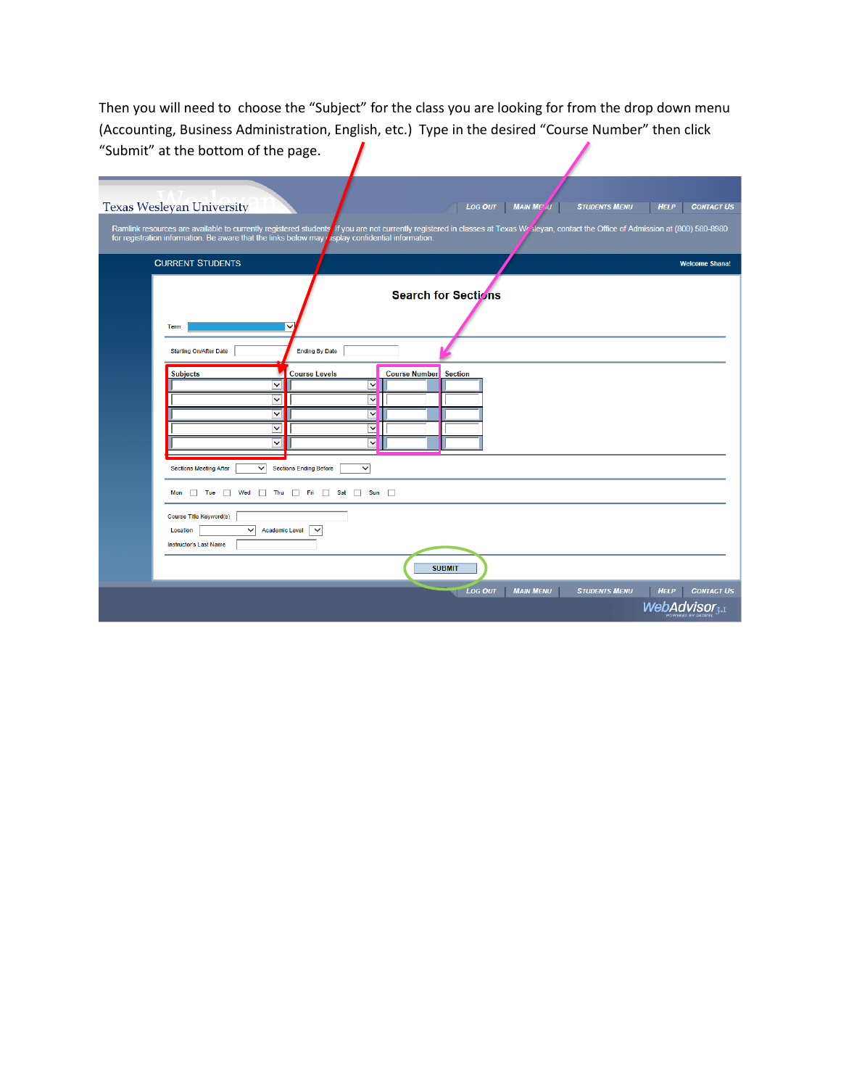Then you will need to choose the "Subject" for the class you are looking for from the drop down menu (Accounting, Business Administration, English, etc.) Type in the desired "Course Number" then click "Submit" at the bottom of the page.

| <b>Texas Wesleyan University</b>                                                                                                    |                                               |                                  | <b>LOG OUT</b>      | <b>MAIN MELU</b> | <b>STUDENTS MENU</b>                                                                                                 | <b>HELP</b>                              | <b>CONTACT US</b>     |
|-------------------------------------------------------------------------------------------------------------------------------------|-----------------------------------------------|----------------------------------|---------------------|------------------|----------------------------------------------------------------------------------------------------------------------|------------------------------------------|-----------------------|
| Ramlink resources are available to currently registered students<br>for registration information. Be aware that the links below may |                                               | isplay confidential information. |                     |                  | If you are not currently registered in classes at Texas Wr Sleyan, contact the Office of Admission at (800) 580-8980 |                                          |                       |
| <b>CURRENT STUDENTS</b>                                                                                                             |                                               |                                  |                     |                  |                                                                                                                      |                                          | <b>Welcome Shana!</b> |
| Term                                                                                                                                |                                               |                                  | Search for Sections |                  |                                                                                                                      |                                          |                       |
| <b>Starting On/After Date</b>                                                                                                       | <b>Ending By Date</b>                         |                                  |                     |                  |                                                                                                                      |                                          |                       |
| <b>Subjects</b><br>◡                                                                                                                | <b>Course Levels</b><br>M                     | <b>Course Number</b> Section     |                     |                  |                                                                                                                      |                                          |                       |
| v                                                                                                                                   | $\checkmark$                                  |                                  |                     |                  |                                                                                                                      |                                          |                       |
| $\checkmark$<br>Ÿ                                                                                                                   | M<br>$\overline{\mathsf{v}}$                  |                                  |                     |                  |                                                                                                                      |                                          |                       |
| $\checkmark$                                                                                                                        | $\checkmark$                                  |                                  |                     |                  |                                                                                                                      |                                          |                       |
| $\checkmark$<br><b>Sections Meeting After</b>                                                                                       | <b>Sections Ending Before</b><br>$\checkmark$ |                                  |                     |                  |                                                                                                                      |                                          |                       |
| Tue Wed Thu Fri Sat Sun<br>Mon                                                                                                      |                                               |                                  |                     |                  |                                                                                                                      |                                          |                       |
| Course Title Keyword(s)<br><b>Academic Level</b><br>$\checkmark$<br>Location<br><b>Instructor's Last Name</b>                       | $\checkmark$                                  |                                  |                     |                  |                                                                                                                      |                                          |                       |
|                                                                                                                                     |                                               |                                  | <b>SUBMIT</b>       |                  |                                                                                                                      |                                          |                       |
|                                                                                                                                     |                                               |                                  | <b>Log OUT</b>      | <b>MAIN MENU</b> | <b>STUDENTS MENU</b>                                                                                                 | <b>HELP</b><br>WebAdvisor <sub>3-1</sub> | <b>CONTACT US</b>     |